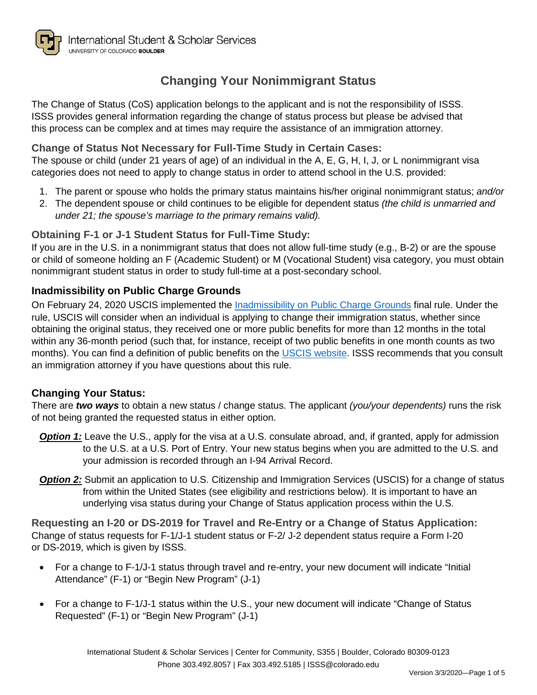

The Change of Status (CoS) application belongs to the applicant and is not the responsibility of ISSS. ISSS provides general information regarding the change of status process but please be advised that this process can be complex and at times may require the assistance of an immigration attorney.

## **Change of Status Not Necessary for Full-Time Study in Certain Cases:**

The spouse or child (under 21 years of age) of an individual in the A, E, G, H, I, J, or L nonimmigrant visa categories does not need to apply to change status in order to attend school in the U.S. provided:

- 1. The parent or spouse who holds the primary status maintains his/her original nonimmigrant status; *and/or*
- 2. The dependent spouse or child continues to be eligible for dependent status *(the child is unmarried and under 21; the spouse's marriage to the primary remains valid).*

### **Obtaining F-1 or J-1 Student Status for Full-Time Study:**

If you are in the U.S. in a nonimmigrant status that does not allow full-time study (e.g., B-2) or are the spouse or child of someone holding an F (Academic Student) or M (Vocational Student) visa category, you must obtain nonimmigrant student status in order to study full-time at a post-secondary school.

## **Inadmissibility on Public Charge Grounds**

On February 24, 2020 USCIS implemented the [Inadmissibility on Public Charge Grounds](https://www.uscis.gov/archive/archive-news/final-rule-public-charge-ground-inadmissibility) final rule. Under the rule, USCIS will consider when an individual is applying to change their immigration status, whether since obtaining the original status, they received one or more public benefits for more than 12 months in the total within any 36-month period (such that, for instance, receipt of two public benefits in one month counts as two months). You can find a definition of public benefits on the [USCIS website.](https://www.uscis.gov/archive/archive-news/final-rule-public-charge-ground-inadmissibility) ISSS recommends that you consult an immigration attorney if you have questions about this rule.

### **Changing Your Status:**

There are *two ways* to obtain a new status / change status. The applicant *(you/your dependents)* runs the risk of not being granted the requested status in either option.

- **Option 1:** Leave the U.S., apply for the visa at a U.S. consulate abroad, and, if granted, apply for admission to the U.S. at a U.S. Port of Entry. Your new status begins when you are admitted to the U.S. and your admission is recorded through an I-94 Arrival Record.
- **Option 2:** Submit an application to U.S. Citizenship and Immigration Services (USCIS) for a change of status from within the United States (see eligibility and restrictions below). It is important to have an underlying visa status during your Change of Status application process within the U.S.

**Requesting an I-20 or DS-2019 for Travel and Re-Entry or a Change of Status Application:** Change of status requests for F-1/J-1 student status or F-2/ J-2 dependent status require a Form I-20 or DS-2019, which is given by ISSS.

- For a change to F-1/J-1 status through travel and re-entry, your new document will indicate "Initial Attendance" (F-1) or "Begin New Program" (J-1)
- For a change to F-1/J-1 status within the U.S., your new document will indicate "Change of Status" Requested" (F-1) or "Begin New Program" (J-1)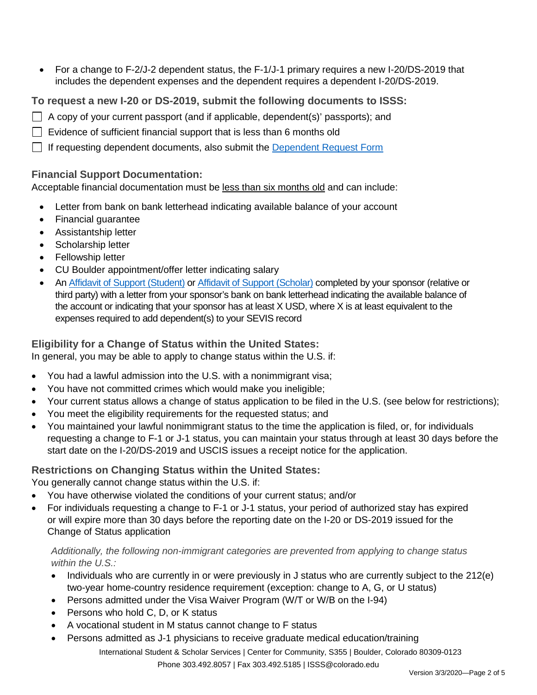• For a change to F-2/J-2 dependent status, the F-1/J-1 primary requires a new I-20/DS-2019 that includes the dependent expenses and the dependent requires a dependent I-20/DS-2019.

**To request a new I-20 or DS-2019, submit the following documents to ISSS:**

- $\Box$  A copy of your current passport (and if applicable, dependent(s)' passports); and
- $\Box$  Evidence of sufficient financial support that is less than 6 months old
- $\Box$  If requesting dependent documents, also submit the [Dependent Request Form](https://www.colorado.edu/isss/node/240/attachment)

### **Financial Support Documentation:**

Acceptable financial documentation must be less than six months old and can include:

- Letter from bank on bank letterhead indicating available balance of your account
- Financial guarantee
- Assistantship letter
- Scholarship letter
- Fellowship letter
- CU Boulder appointment/offer letter indicating salary
- A[n Affidavit of Support \(Student\)](http://www.colorado.edu/isss/node/246/attachment) or [Affidavit of Support \(Scholar\)](http://www.colorado.edu/isss/node/696/attachment) completed by your sponsor (relative or third party) with a letter from your sponsor's bank on bank letterhead indicating the available balance of the account or indicating that your sponsor has at least X USD, where X is at least equivalent to the expenses required to add dependent(s) to your SEVIS record

# **Eligibility for a Change of Status within the United States:**

In general, you may be able to apply to change status within the U.S. if:

- You had a lawful admission into the U.S. with a nonimmigrant visa;
- You have not committed crimes which would make you ineligible;
- Your current status allows a change of status application to be filed in the U.S. (see below for restrictions);
- You meet the eligibility requirements for the requested status; and
- You maintained your lawful nonimmigrant status to the time the application is filed, or, for individuals requesting a change to F-1 or J-1 status, you can maintain your status through at least 30 days before the start date on the I-20/DS-2019 and USCIS issues a receipt notice for the application.

# **Restrictions on Changing Status within the United States:**

You generally cannot change status within the U.S. if:

- You have otherwise violated the conditions of your current status; and/or
- For individuals requesting a change to F-1 or J-1 status, your period of authorized stay has expired or will expire more than 30 days before the reporting date on the I-20 or DS-2019 issued for the Change of Status application

### *Additionally, the following non-immigrant categories are prevented from applying to change status within the U.S.:*

- Individuals who are currently in or were previously in J status who are currently subject to the 212(e) two-year home-country residence requirement (exception: change to A, G, or U status)
- Persons admitted under the Visa Waiver Program (W/T or W/B on the I-94)
- Persons who hold C, D, or K status
- A vocational student in M status cannot change to F status
- Persons admitted as J-1 physicians to receive graduate medical education/training

International Student & Scholar Services | Center for Community, S355 | Boulder, Colorado 80309-0123 Phone 303.492.8057 | Fax 303.492.5185 [| ISSS@colorado.edu](mailto:ISSS@colorado.edu)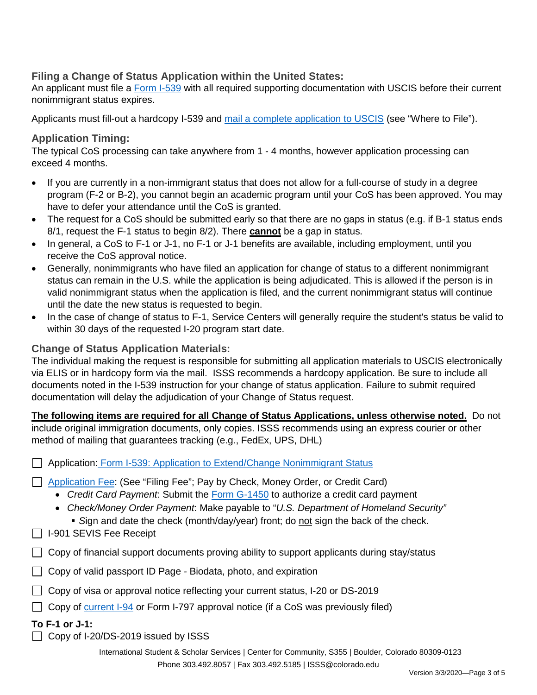## **Filing a Change of Status Application within the United States:**

An applicant must file a [Form I-539](https://www.uscis.gov/i-539) with all required supporting documentation with USCIS before their current nonimmigrant status expires.

Applicants must fill-out a hardcopy I-539 and [mail a complete application to USCIS](https://www.uscis.gov/i-539) (see "Where to File").

### **Application Timing:**

The typical CoS processing can take anywhere from 1 - 4 months, however application processing can exceed 4 months.

- If you are currently in a non-immigrant status that does not allow for a full-course of study in a degree program (F-2 or B-2), you cannot begin an academic program until your CoS has been approved. You may have to defer your attendance until the CoS is granted.
- The request for a CoS should be submitted early so that there are no gaps in status (e.g. if B-1 status ends 8/1, request the F-1 status to begin 8/2). There **cannot** be a gap in status.
- In general, a CoS to F-1 or J-1, no F-1 or J-1 benefits are available, including employment, until you receive the CoS approval notice.
- Generally, nonimmigrants who have filed an application for change of status to a different nonimmigrant status can remain in the U.S. while the application is being adjudicated. This is allowed if the person is in valid nonimmigrant status when the application is filed, and the current nonimmigrant status will continue until the date the new status is requested to begin.
- In the case of change of status to F-1, Service Centers will generally require the student's status be valid to within 30 days of the requested I-20 program start date.

### **Change of Status Application Materials:**

The individual making the request is responsible for submitting all application materials to USCIS electronically via ELIS or in hardcopy form via the mail. ISSS recommends a hardcopy application. Be sure to include all documents noted in the I-539 instruction for your change of status application. Failure to submit required documentation will delay the adjudication of your Change of Status request.

**The following items are required for all Change of Status Applications, unless otherwise noted.** Do not include original immigration documents, only copies. ISSS recommends using an express courier or other method of mailing that guarantees tracking (e.g., FedEx, UPS, DHL)

|              | Application: Form I-539: Application to Extend/Change Nonimmigrant Status                                                                                                                                                                                                                                                                                                         |
|--------------|-----------------------------------------------------------------------------------------------------------------------------------------------------------------------------------------------------------------------------------------------------------------------------------------------------------------------------------------------------------------------------------|
|              | Application Fee: (See "Filing Fee"; Pay by Check, Money Order, or Credit Card)<br>• Credit Card Payment: Submit the Form G-1450 to authorize a credit card payment<br>• Check/Money Order Payment: Make payable to "U.S. Department of Homeland Security"<br>Sign and date the check (month/day/year) front; do not sign the back of the check.<br>$\Box$ I-901 SEVIS Fee Receipt |
| $\mathbf{I}$ | Copy of financial support documents proving ability to support applicants during stay/status                                                                                                                                                                                                                                                                                      |
|              | Copy of valid passport ID Page - Biodata, photo, and expiration                                                                                                                                                                                                                                                                                                                   |

- $\Box$  Copy of visa or approval notice reflecting your current status, I-20 or DS-2019
- $\Box$  Copy of [current I-94](https://i94.cbp.dhs.gov/I94/) or Form I-797 approval notice (if a CoS was previously filed)

#### **To F-1 or J-1:**

□ Copy of I-20/DS-2019 issued by ISSS

International Student & Scholar Services | Center for Community, S355 | Boulder, Colorado 80309-0123 Phone 303.492.8057 | Fax 303.492.5185 [| ISSS@colorado.edu](mailto:ISSS@colorado.edu)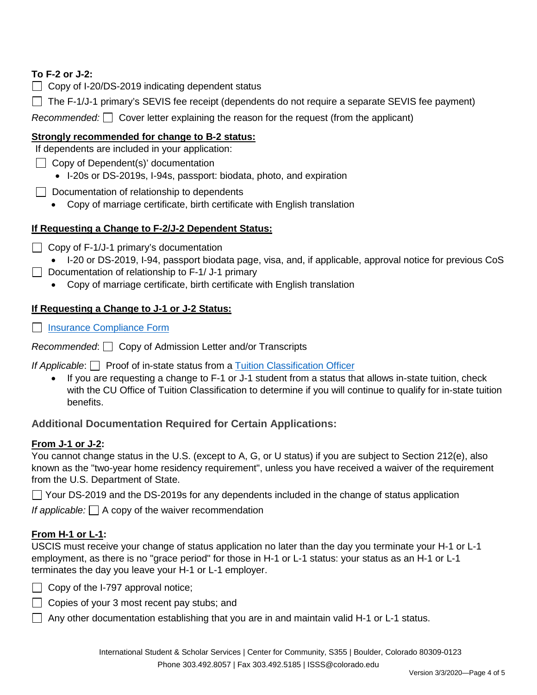# **To F-2 or J-2:**

- $\Box$  Copy of I-20/DS-2019 indicating dependent status
- $\Box$  The F-1/J-1 primary's SEVIS fee receipt (dependents do not require a separate SEVIS fee payment)

*Recommended:*  $\Box$  Cover letter explaining the reason for the request (from the applicant)

## **Strongly recommended for change to B-2 status:**

If dependents are included in your application:

- **Copy of Dependent(s)' documentation** 
	- I-20s or DS-2019s, I-94s, passport: biodata, photo, and expiration
- $\Box$  Documentation of relationship to dependents
	- Copy of marriage certificate, birth certificate with English translation

## **If Requesting a Change to F-2/J-2 Dependent Status:**

 $\Box$  Copy of F-1/J-1 primary's documentation

• I-20 or DS-2019, I-94, passport biodata page, visa, and, if applicable, approval notice for previous CoS

- Documentation of relationship to  $F-1/ J-1$  primary
	- Copy of marriage certificate, birth certificate with English translation

## **If Requesting a Change to J-1 or J-2 Status:**

□ [Insurance Compliance Form](https://www.colorado.edu/isss/content/insurance-compliance-form-pdf)

*Recommended*: ◯ Copy of Admission Letter and/or Transcripts

*If Applicable*: **Proof of in-state status from a [Tuition Classification Officer](https://www.colorado.edu/registrar/students/state-residency)** 

If you are requesting a change to F-1 or J-1 student from a status that allows in-state tuition, check with the CU Office of Tuition Classification to determine if you will continue to qualify for in-state tuition benefits.

# **Additional Documentation Required for Certain Applications:**

### **From J-1 or J-2:**

You cannot change status in the U.S. (except to A, G, or U status) if you are subject to Section 212(e), also known as the "two-year home residency requirement", unless you have received a waiver of the requirement from the U.S. Department of State.

 $\Box$  Your DS-2019 and the DS-2019s for any dependents included in the change of status application

*If applicable:*  $\Box$  A copy of the waiver recommendation

# **From H-1 or L-1:**

USCIS must receive your change of status application no later than the day you terminate your H-1 or L-1 employment, as there is no "grace period" for those in H-1 or L-1 status: your status as an H-1 or L-1 terminates the day you leave your H-1 or L-1 employer.

- □ Copy of the I-797 approval notice;
- □ Copies of your 3 most recent pay stubs; and
- Any other documentation establishing that you are in and maintain valid H-1 or L-1 status.